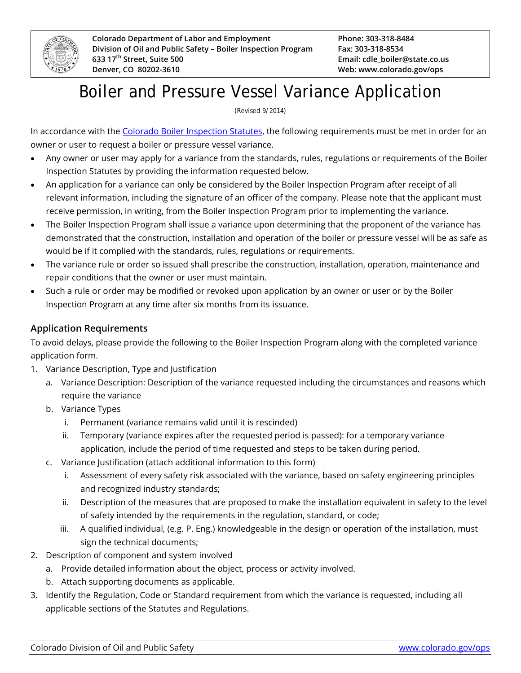

## Boiler and Pressure Vessel Variance Application

(Revised 9/2014)

In accordance with the [Colorado Boiler Inspection](https://www.colorado.gov/ops/RegulationsStatutes) Statutes, the following requirements must be met in order for an owner or user to request a boiler or pressure vessel variance.

- Any owner or user may apply for a variance from the standards, rules, regulations or requirements of the Boiler Inspection Statutes by providing the information requested below.
- An application for a variance can only be considered by the Boiler Inspection Program after receipt of all relevant information, including the signature of an officer of the company. Please note that the applicant must receive permission, in writing, from the Boiler Inspection Program prior to implementing the variance.
- The Boiler Inspection Program shall issue a variance upon determining that the proponent of the variance has demonstrated that the construction, installation and operation of the boiler or pressure vessel will be as safe as would be if it complied with the standards, rules, regulations or requirements.
- The variance rule or order so issued shall prescribe the construction, installation, operation, maintenance and repair conditions that the owner or user must maintain.
- Such a rule or order may be modified or revoked upon application by an owner or user or by the Boiler Inspection Program at any time after six months from its issuance.

## **Application Requirements**

To avoid delays, please provide the following to the Boiler Inspection Program along with the completed variance application form.

- 1. Variance Description, Type and Justification
	- a. Variance Description: Description of the variance requested including the circumstances and reasons which require the variance
	- b. Variance Types
		- i. Permanent (variance remains valid until it is rescinded)
		- ii. Temporary (variance expires after the requested period is passed): for a temporary variance application, include the period of time requested and steps to be taken during period.
	- c. Variance Justification (attach additional information to this form)
		- i. Assessment of every safety risk associated with the variance, based on safety engineering principles and recognized industry standards;
		- ii. Description of the measures that are proposed to make the installation equivalent in safety to the level of safety intended by the requirements in the regulation, standard, or code;
		- iii. A qualified individual, (e.g. P. Eng.) knowledgeable in the design or operation of the installation, must sign the technical documents;
- 2. Description of component and system involved
	- a. Provide detailed information about the object, process or activity involved.
	- b. Attach supporting documents as applicable.
- 3. Identify the Regulation, Code or Standard requirement from which the variance is requested, including all applicable sections of the Statutes and Regulations.